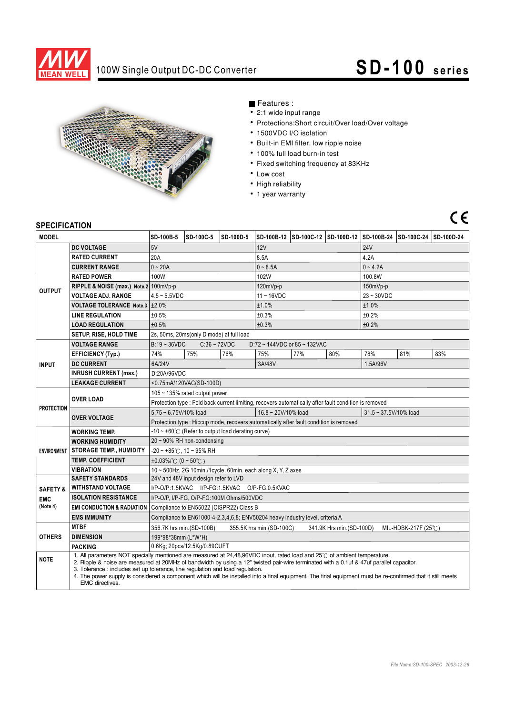

#### 100W Single Output DC-DC Converter

# **S D -100 s e r i e s**



#### Features :

- 2:1 wide input range
- Protections:Short circuit/Over load/Over voltage
- 1500VDC I/O isolation
- Built-in EMI filter, low ripple noise
- 100% full load burn-in test
- Fixed switching frequency at 83KHz
- Low cost
- High reliability
- 1 year warranty

### $C\epsilon$

#### **SPECIFICATION**

| טר בעוו וטאוועו     |                                                                                                                                                                                                                                                                                                                                                                                                                                                                                                                                               |                                                                                                                       |           |           |               |     |     |                                                                   |     |     |
|---------------------|-----------------------------------------------------------------------------------------------------------------------------------------------------------------------------------------------------------------------------------------------------------------------------------------------------------------------------------------------------------------------------------------------------------------------------------------------------------------------------------------------------------------------------------------------|-----------------------------------------------------------------------------------------------------------------------|-----------|-----------|---------------|-----|-----|-------------------------------------------------------------------|-----|-----|
| <b>MODEL</b>        |                                                                                                                                                                                                                                                                                                                                                                                                                                                                                                                                               | SD-100B-5                                                                                                             | SD-100C-5 | SD-100D-5 |               |     |     | SD-100B-12 SD-100C-12 SD-100D-12 SD-100B-24 SD-100C-24 SD-100D-24 |     |     |
| <b>OUTPUT</b>       | <b>DC VOLTAGE</b>                                                                                                                                                                                                                                                                                                                                                                                                                                                                                                                             | 5V                                                                                                                    |           |           | 12V           |     |     | <b>24V</b>                                                        |     |     |
|                     | <b>RATED CURRENT</b>                                                                                                                                                                                                                                                                                                                                                                                                                                                                                                                          | 20A                                                                                                                   |           |           | 8.5A          |     |     | 4.2A                                                              |     |     |
|                     | <b>CURRENT RANGE</b>                                                                                                                                                                                                                                                                                                                                                                                                                                                                                                                          | $0 - 20A$                                                                                                             |           |           | $0 - 8.5A$    |     |     | $0 - 4.2A$                                                        |     |     |
|                     | <b>RATED POWER</b>                                                                                                                                                                                                                                                                                                                                                                                                                                                                                                                            | 100W                                                                                                                  |           |           | 102W          |     |     | 100.8W                                                            |     |     |
|                     | RIPPLE & NOISE (max.) Note.2 100mVp-p                                                                                                                                                                                                                                                                                                                                                                                                                                                                                                         |                                                                                                                       |           |           | $120mVp-p$    |     |     | $150mVp-p$                                                        |     |     |
|                     | <b>VOLTAGE ADJ. RANGE</b>                                                                                                                                                                                                                                                                                                                                                                                                                                                                                                                     | $4.5 - 5.5$ VDC                                                                                                       |           |           | $11 - 16$ VDC |     |     | $23 - 30$ VDC                                                     |     |     |
|                     | <b>VOLTAGE TOLERANCE Note.3</b>                                                                                                                                                                                                                                                                                                                                                                                                                                                                                                               | $+2.0%$                                                                                                               |           |           | ±1.0%         |     |     | ±1.0%                                                             |     |     |
|                     | <b>LINE REGULATION</b>                                                                                                                                                                                                                                                                                                                                                                                                                                                                                                                        | ±0.5%                                                                                                                 |           |           | ±0.3%         |     |     | ±0.2%                                                             |     |     |
|                     | <b>LOAD REGULATION</b>                                                                                                                                                                                                                                                                                                                                                                                                                                                                                                                        | ±0.5%                                                                                                                 |           |           | ±0.3%         |     |     | ±0.2%                                                             |     |     |
|                     | <b>SETUP, RISE, HOLD TIME</b>                                                                                                                                                                                                                                                                                                                                                                                                                                                                                                                 | 2s, 50ms, 20ms(only D mode) at full load                                                                              |           |           |               |     |     |                                                                   |     |     |
| <b>INPUT</b>        | <b>VOLTAGE RANGE</b>                                                                                                                                                                                                                                                                                                                                                                                                                                                                                                                          | $B:19 - 36VDC$<br>$C:36 \sim 72VDC$<br>$D:72 \sim 144$ VDC or 85 ~ 132VAC                                             |           |           |               |     |     |                                                                   |     |     |
|                     | <b>EFFICIENCY (Typ.)</b>                                                                                                                                                                                                                                                                                                                                                                                                                                                                                                                      | 74%                                                                                                                   | 75%       | 76%       | 75%           | 77% | 80% | 78%                                                               | 81% | 83% |
|                     | <b>DC CURRENT</b>                                                                                                                                                                                                                                                                                                                                                                                                                                                                                                                             | 6A/24V                                                                                                                |           |           | 3A/48V        |     |     | 1.5A/96V                                                          |     |     |
|                     | <b>INRUSH CURRENT (max.)</b>                                                                                                                                                                                                                                                                                                                                                                                                                                                                                                                  | D:20A/96VDC                                                                                                           |           |           |               |     |     |                                                                   |     |     |
|                     | <b>LEAKAGE CURRENT</b>                                                                                                                                                                                                                                                                                                                                                                                                                                                                                                                        | <0.75mA/120VAC(SD-100D)                                                                                               |           |           |               |     |     |                                                                   |     |     |
| <b>PROTECTION</b>   |                                                                                                                                                                                                                                                                                                                                                                                                                                                                                                                                               | 105 ~ 135% rated output power                                                                                         |           |           |               |     |     |                                                                   |     |     |
|                     | <b>OVER LOAD</b>                                                                                                                                                                                                                                                                                                                                                                                                                                                                                                                              | Protection type : Fold back current limiting, recovers automatically after fault condition is removed                 |           |           |               |     |     |                                                                   |     |     |
|                     | <b>OVER VOLTAGE</b>                                                                                                                                                                                                                                                                                                                                                                                                                                                                                                                           | 5.75 ~ 6.75V/10% load<br>16.8~20V/10% load<br>31.5~37.5V/10% load                                                     |           |           |               |     |     |                                                                   |     |     |
|                     |                                                                                                                                                                                                                                                                                                                                                                                                                                                                                                                                               | Protection type : Hiccup mode, recovers automatically after fault condition is removed                                |           |           |               |     |     |                                                                   |     |     |
| <b>ENVIRONMENT</b>  | <b>WORKING TEMP.</b>                                                                                                                                                                                                                                                                                                                                                                                                                                                                                                                          | $-10 \sim +60^{\circ}$ (Refer to output load derating curve)                                                          |           |           |               |     |     |                                                                   |     |     |
|                     | <b>WORKING HUMIDITY</b>                                                                                                                                                                                                                                                                                                                                                                                                                                                                                                                       | $20 \sim 90\%$ RH non-condensing                                                                                      |           |           |               |     |     |                                                                   |     |     |
|                     | <b>STORAGE TEMP., HUMIDITY</b>                                                                                                                                                                                                                                                                                                                                                                                                                                                                                                                | $-20$ ~ +85°C, 10 ~ 95% RH                                                                                            |           |           |               |     |     |                                                                   |     |     |
|                     | <b>TEMP. COEFFICIENT</b>                                                                                                                                                                                                                                                                                                                                                                                                                                                                                                                      | $\pm 0.03\%$ (0 ~ 50°C)                                                                                               |           |           |               |     |     |                                                                   |     |     |
|                     | VIBRATION                                                                                                                                                                                                                                                                                                                                                                                                                                                                                                                                     | 10 ~ 500Hz, 2G 10min./1cycle, 60min. each along X, Y, Z axes                                                          |           |           |               |     |     |                                                                   |     |     |
|                     | <b>SAFETY STANDARDS</b>                                                                                                                                                                                                                                                                                                                                                                                                                                                                                                                       | 24V and 48V input design refer to LVD                                                                                 |           |           |               |     |     |                                                                   |     |     |
| <b>SAFETY &amp;</b> | <b>WITHSTAND VOLTAGE</b>                                                                                                                                                                                                                                                                                                                                                                                                                                                                                                                      | I/P-O/P:1.5KVAC I/P-FG:1.5KVAC O/P-FG:0.5KVAC                                                                         |           |           |               |     |     |                                                                   |     |     |
| <b>EMC</b>          | <b>ISOLATION RESISTANCE</b>                                                                                                                                                                                                                                                                                                                                                                                                                                                                                                                   | I/P-O/P, I/P-FG, O/P-FG:100M Ohms/500VDC                                                                              |           |           |               |     |     |                                                                   |     |     |
| (Note 4)            | <b>EMI CONDUCTION &amp; RADIATION</b>                                                                                                                                                                                                                                                                                                                                                                                                                                                                                                         | Compliance to EN55022 (CISPR22) Class B                                                                               |           |           |               |     |     |                                                                   |     |     |
|                     | <b>EMS IMMUNITY</b>                                                                                                                                                                                                                                                                                                                                                                                                                                                                                                                           | Compliance to EN61000-4-2,3,4,6,8; ENV50204 heavy industry level, criteria A                                          |           |           |               |     |     |                                                                   |     |     |
| <b>OTHERS</b>       | <b>MTBF</b>                                                                                                                                                                                                                                                                                                                                                                                                                                                                                                                                   | 356.7K hrs min. (SD-100B)<br>355.5K hrs min. (SD-100C)<br>341.9K Hrs min. (SD-100D)<br>MIL-HDBK-217F (25 $\degree$ C) |           |           |               |     |     |                                                                   |     |     |
|                     | <b>DIMENSION</b>                                                                                                                                                                                                                                                                                                                                                                                                                                                                                                                              | 199*98*38mm (L*W*H)                                                                                                   |           |           |               |     |     |                                                                   |     |     |
|                     | <b>PACKING</b>                                                                                                                                                                                                                                                                                                                                                                                                                                                                                                                                | 0.6Kg; 20pcs/12.5Kg/0.89CUFT                                                                                          |           |           |               |     |     |                                                                   |     |     |
| <b>NOTE</b>         | 1. All parameters NOT specially mentioned are measured at 24,48,96VDC input, rated load and 25°C of ambient temperature.<br>2. Ripple & noise are measured at 20MHz of bandwidth by using a 12" twisted pair-wire terminated with a 0.1uf & 47uf parallel capacitor.<br>3. Tolerance: includes set up tolerance, line regulation and load regulation.<br>4. The power supply is considered a component which will be installed into a final equipment. The final equipment must be re-confirmed that it still meets<br><b>EMC</b> directives. |                                                                                                                       |           |           |               |     |     |                                                                   |     |     |